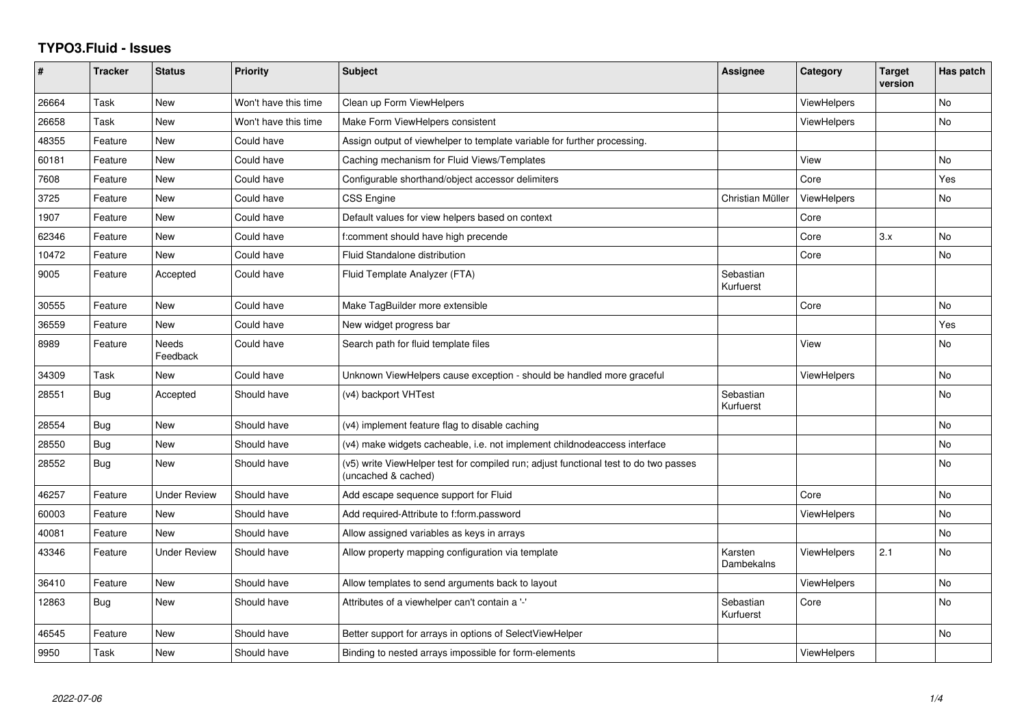## **TYPO3.Fluid - Issues**

| #     | <b>Tracker</b> | <b>Status</b>       | <b>Priority</b>      | <b>Subject</b>                                                                                              | Assignee               | Category           | <b>Target</b><br>version | Has patch |
|-------|----------------|---------------------|----------------------|-------------------------------------------------------------------------------------------------------------|------------------------|--------------------|--------------------------|-----------|
| 26664 | Task           | <b>New</b>          | Won't have this time | Clean up Form ViewHelpers                                                                                   |                        | ViewHelpers        |                          | <b>No</b> |
| 26658 | Task           | New                 | Won't have this time | Make Form ViewHelpers consistent                                                                            |                        | <b>ViewHelpers</b> |                          | No        |
| 48355 | Feature        | New                 | Could have           | Assign output of viewhelper to template variable for further processing.                                    |                        |                    |                          |           |
| 60181 | Feature        | New                 | Could have           | Caching mechanism for Fluid Views/Templates                                                                 |                        | View               |                          | No        |
| 7608  | Feature        | New                 | Could have           | Configurable shorthand/object accessor delimiters                                                           |                        | Core               |                          | Yes       |
| 3725  | Feature        | <b>New</b>          | Could have           | <b>CSS Engine</b>                                                                                           | Christian Müller       | <b>ViewHelpers</b> |                          | No        |
| 1907  | Feature        | New                 | Could have           | Default values for view helpers based on context                                                            |                        | Core               |                          |           |
| 62346 | Feature        | <b>New</b>          | Could have           | f:comment should have high precende                                                                         |                        | Core               | 3.x                      | <b>No</b> |
| 10472 | Feature        | New                 | Could have           | Fluid Standalone distribution                                                                               |                        | Core               |                          | No        |
| 9005  | Feature        | Accepted            | Could have           | Fluid Template Analyzer (FTA)                                                                               | Sebastian<br>Kurfuerst |                    |                          |           |
| 30555 | Feature        | <b>New</b>          | Could have           | Make TagBuilder more extensible                                                                             |                        | Core               |                          | <b>No</b> |
| 36559 | Feature        | <b>New</b>          | Could have           | New widget progress bar                                                                                     |                        |                    |                          | Yes       |
| 8989  | Feature        | Needs<br>Feedback   | Could have           | Search path for fluid template files                                                                        |                        | View               |                          | No        |
| 34309 | Task           | New                 | Could have           | Unknown ViewHelpers cause exception - should be handled more graceful                                       |                        | <b>ViewHelpers</b> |                          | No        |
| 28551 | Bug            | Accepted            | Should have          | (v4) backport VHTest                                                                                        | Sebastian<br>Kurfuerst |                    |                          | <b>No</b> |
| 28554 | Bug            | New                 | Should have          | (v4) implement feature flag to disable caching                                                              |                        |                    |                          | <b>No</b> |
| 28550 | Bug            | <b>New</b>          | Should have          | (v4) make widgets cacheable, i.e. not implement childnodeaccess interface                                   |                        |                    |                          | <b>No</b> |
| 28552 | Bug            | <b>New</b>          | Should have          | (v5) write ViewHelper test for compiled run; adjust functional test to do two passes<br>(uncached & cached) |                        |                    |                          | No        |
| 46257 | Feature        | <b>Under Review</b> | Should have          | Add escape sequence support for Fluid                                                                       |                        | Core               |                          | <b>No</b> |
| 60003 | Feature        | New                 | Should have          | Add required-Attribute to f:form.password                                                                   |                        | ViewHelpers        |                          | No        |
| 40081 | Feature        | New                 | Should have          | Allow assigned variables as keys in arrays                                                                  |                        |                    |                          | No        |
| 43346 | Feature        | <b>Under Review</b> | Should have          | Allow property mapping configuration via template                                                           | Karsten<br>Dambekalns  | <b>ViewHelpers</b> | 2.1                      | <b>No</b> |
| 36410 | Feature        | New                 | Should have          | Allow templates to send arguments back to layout                                                            |                        | <b>ViewHelpers</b> |                          | <b>No</b> |
| 12863 | Bug            | New                 | Should have          | Attributes of a viewhelper can't contain a '-'                                                              | Sebastian<br>Kurfuerst | Core               |                          | <b>No</b> |
| 46545 | Feature        | New                 | Should have          | Better support for arrays in options of SelectViewHelper                                                    |                        |                    |                          | No        |
| 9950  | Task           | New                 | Should have          | Binding to nested arrays impossible for form-elements                                                       |                        | <b>ViewHelpers</b> |                          |           |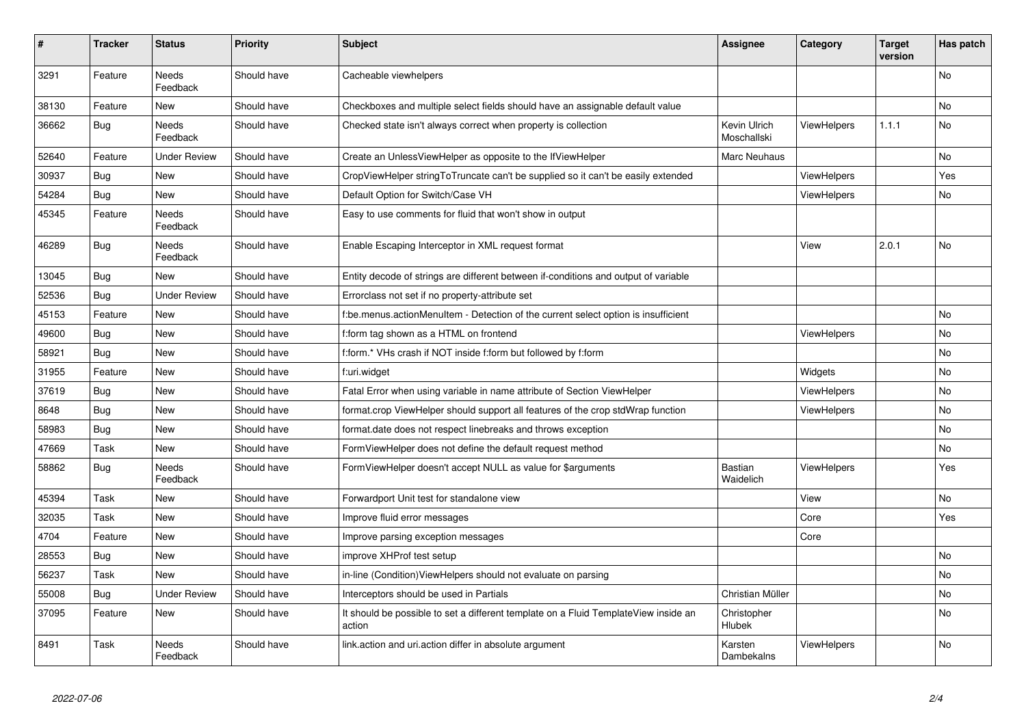| #     | <b>Tracker</b> | <b>Status</b>            | <b>Priority</b> | <b>Subject</b>                                                                                | Assignee                    | Category           | <b>Target</b><br>version | Has patch |
|-------|----------------|--------------------------|-----------------|-----------------------------------------------------------------------------------------------|-----------------------------|--------------------|--------------------------|-----------|
| 3291  | Feature        | Needs<br>Feedback        | Should have     | Cacheable viewhelpers                                                                         |                             |                    |                          | No        |
| 38130 | Feature        | <b>New</b>               | Should have     | Checkboxes and multiple select fields should have an assignable default value                 |                             |                    |                          | <b>No</b> |
| 36662 | <b>Bug</b>     | Needs<br>Feedback        | Should have     | Checked state isn't always correct when property is collection                                | Kevin Ulrich<br>Moschallski | <b>ViewHelpers</b> | 1.1.1                    | No        |
| 52640 | Feature        | <b>Under Review</b>      | Should have     | Create an UnlessViewHelper as opposite to the IfViewHelper                                    | Marc Neuhaus                |                    |                          | <b>No</b> |
| 30937 | <b>Bug</b>     | New                      | Should have     | CropViewHelper stringToTruncate can't be supplied so it can't be easily extended              |                             | <b>ViewHelpers</b> |                          | Yes       |
| 54284 | Bug            | New                      | Should have     | Default Option for Switch/Case VH                                                             |                             | <b>ViewHelpers</b> |                          | No        |
| 45345 | Feature        | <b>Needs</b><br>Feedback | Should have     | Easy to use comments for fluid that won't show in output                                      |                             |                    |                          |           |
| 46289 | Bug            | Needs<br>Feedback        | Should have     | Enable Escaping Interceptor in XML request format                                             |                             | View               | 2.0.1                    | No        |
| 13045 | Bug            | New                      | Should have     | Entity decode of strings are different between if-conditions and output of variable           |                             |                    |                          |           |
| 52536 | Bug            | <b>Under Review</b>      | Should have     | Errorclass not set if no property-attribute set                                               |                             |                    |                          |           |
| 45153 | Feature        | New                      | Should have     | f:be.menus.actionMenuItem - Detection of the current select option is insufficient            |                             |                    |                          | No        |
| 49600 | Bug            | New                      | Should have     | f:form tag shown as a HTML on frontend                                                        |                             | <b>ViewHelpers</b> |                          | No        |
| 58921 | Bug            | New                      | Should have     | f:form.* VHs crash if NOT inside f:form but followed by f:form                                |                             |                    |                          | No        |
| 31955 | Feature        | New                      | Should have     | f:uri.widget                                                                                  |                             | Widgets            |                          | No        |
| 37619 | Bug            | New                      | Should have     | Fatal Error when using variable in name attribute of Section ViewHelper                       |                             | <b>ViewHelpers</b> |                          | No        |
| 8648  | Bug            | New                      | Should have     | format.crop ViewHelper should support all features of the crop stdWrap function               |                             | <b>ViewHelpers</b> |                          | <b>No</b> |
| 58983 | <b>Bug</b>     | New                      | Should have     | format.date does not respect linebreaks and throws exception                                  |                             |                    |                          | No        |
| 47669 | Task           | New                      | Should have     | FormViewHelper does not define the default request method                                     |                             |                    |                          | No        |
| 58862 | Bug            | Needs<br>Feedback        | Should have     | FormViewHelper doesn't accept NULL as value for \$arguments                                   | <b>Bastian</b><br>Waidelich | <b>ViewHelpers</b> |                          | Yes       |
| 45394 | Task           | New                      | Should have     | Forwardport Unit test for standalone view                                                     |                             | View               |                          | No        |
| 32035 | Task           | New                      | Should have     | Improve fluid error messages                                                                  |                             | Core               |                          | Yes       |
| 4704  | Feature        | New                      | Should have     | Improve parsing exception messages                                                            |                             | Core               |                          |           |
| 28553 | <b>Bug</b>     | New                      | Should have     | improve XHProf test setup                                                                     |                             |                    |                          | No        |
| 56237 | Task           | New                      | Should have     | in-line (Condition)ViewHelpers should not evaluate on parsing                                 |                             |                    |                          | No        |
| 55008 | Bug            | Under Review             | Should have     | Interceptors should be used in Partials                                                       | Christian Müller            |                    |                          | No        |
| 37095 | Feature        | New                      | Should have     | It should be possible to set a different template on a Fluid TemplateView inside an<br>action | Christopher<br>Hlubek       |                    |                          | No        |
| 8491  | Task           | Needs<br>Feedback        | Should have     | link.action and uri.action differ in absolute argument                                        | Karsten<br>Dambekalns       | ViewHelpers        |                          | No        |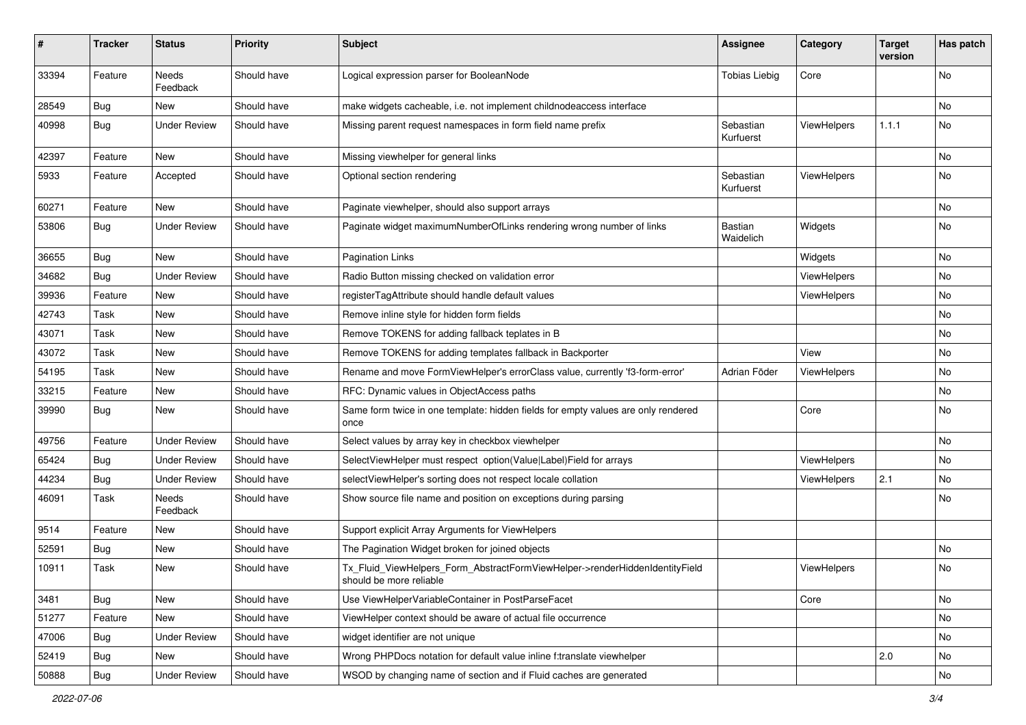| #     | <b>Tracker</b> | <b>Status</b>            | <b>Priority</b> | <b>Subject</b>                                                                                         | <b>Assignee</b>        | Category           | <b>Target</b><br>version | Has patch |
|-------|----------------|--------------------------|-----------------|--------------------------------------------------------------------------------------------------------|------------------------|--------------------|--------------------------|-----------|
| 33394 | Feature        | <b>Needs</b><br>Feedback | Should have     | Logical expression parser for BooleanNode                                                              | <b>Tobias Liebig</b>   | Core               |                          | <b>No</b> |
| 28549 | <b>Bug</b>     | New                      | Should have     | make widgets cacheable, i.e. not implement childnodeaccess interface                                   |                        |                    |                          | No        |
| 40998 | Bug            | <b>Under Review</b>      | Should have     | Missing parent request namespaces in form field name prefix                                            | Sebastian<br>Kurfuerst | ViewHelpers        | 1.1.1                    | No        |
| 42397 | Feature        | <b>New</b>               | Should have     | Missing viewhelper for general links                                                                   |                        |                    |                          | No        |
| 5933  | Feature        | Accepted                 | Should have     | Optional section rendering                                                                             | Sebastian<br>Kurfuerst | ViewHelpers        |                          | No        |
| 60271 | Feature        | New                      | Should have     | Paginate viewhelper, should also support arrays                                                        |                        |                    |                          | No        |
| 53806 | Bug            | <b>Under Review</b>      | Should have     | Paginate widget maximumNumberOfLinks rendering wrong number of links                                   | Bastian<br>Waidelich   | Widgets            |                          | No        |
| 36655 | Bug            | New                      | Should have     | <b>Pagination Links</b>                                                                                |                        | Widgets            |                          | No        |
| 34682 | Bug            | <b>Under Review</b>      | Should have     | Radio Button missing checked on validation error                                                       |                        | <b>ViewHelpers</b> |                          | No        |
| 39936 | Feature        | New                      | Should have     | registerTagAttribute should handle default values                                                      |                        | ViewHelpers        |                          | No        |
| 42743 | Task           | New                      | Should have     | Remove inline style for hidden form fields                                                             |                        |                    |                          | No        |
| 43071 | Task           | New                      | Should have     | Remove TOKENS for adding fallback teplates in B                                                        |                        |                    |                          | No        |
| 43072 | Task           | New                      | Should have     | Remove TOKENS for adding templates fallback in Backporter                                              |                        | View               |                          | No        |
| 54195 | Task           | New                      | Should have     | Rename and move FormViewHelper's errorClass value, currently 'f3-form-error'                           | Adrian Föder           | ViewHelpers        |                          | No        |
| 33215 | Feature        | New                      | Should have     | RFC: Dynamic values in ObjectAccess paths                                                              |                        |                    |                          | No        |
| 39990 | Bug            | New                      | Should have     | Same form twice in one template: hidden fields for empty values are only rendered<br>once              |                        | Core               |                          | No        |
| 49756 | Feature        | <b>Under Review</b>      | Should have     | Select values by array key in checkbox viewhelper                                                      |                        |                    |                          | <b>No</b> |
| 65424 | Bug            | <b>Under Review</b>      | Should have     | SelectViewHelper must respect option(Value Label)Field for arrays                                      |                        | ViewHelpers        |                          | No        |
| 44234 | Bug            | <b>Under Review</b>      | Should have     | selectViewHelper's sorting does not respect locale collation                                           |                        | ViewHelpers        | 2.1                      | No        |
| 46091 | Task           | Needs<br>Feedback        | Should have     | Show source file name and position on exceptions during parsing                                        |                        |                    |                          | No        |
| 9514  | Feature        | New                      | Should have     | Support explicit Array Arguments for ViewHelpers                                                       |                        |                    |                          |           |
| 52591 | Bug            | New                      | Should have     | The Pagination Widget broken for joined objects                                                        |                        |                    |                          | No        |
| 10911 | Task           | New                      | Should have     | Tx_Fluid_ViewHelpers_Form_AbstractFormViewHelper->renderHiddenIdentityField<br>should be more reliable |                        | ViewHelpers        |                          | No        |
| 3481  | Bug            | New                      | Should have     | Use ViewHelperVariableContainer in PostParseFacet                                                      |                        | Core               |                          | No        |
| 51277 | Feature        | New                      | Should have     | ViewHelper context should be aware of actual file occurrence                                           |                        |                    |                          | No        |
| 47006 | Bug            | <b>Under Review</b>      | Should have     | widget identifier are not unique                                                                       |                        |                    |                          | No        |
| 52419 | <b>Bug</b>     | New                      | Should have     | Wrong PHPDocs notation for default value inline f:translate viewhelper                                 |                        |                    | 2.0                      | No        |
| 50888 | Bug            | <b>Under Review</b>      | Should have     | WSOD by changing name of section and if Fluid caches are generated                                     |                        |                    |                          | No        |